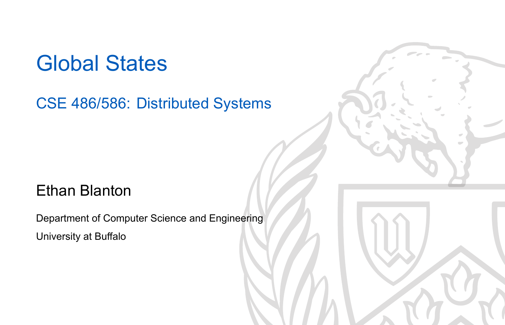## Global States

## CSE 486/586: Distributed Systems

## Ethan Blanton

Department of Computer Science and Engineering University at Buffalo

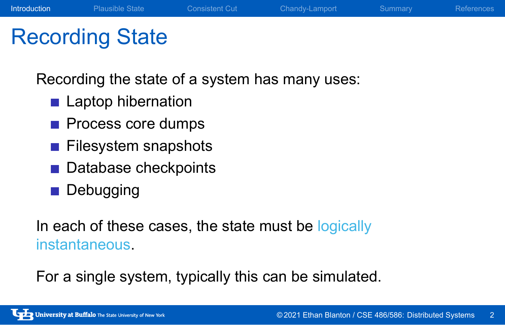## Recording State

Recording the state of a system has many uses:

Introduction Plausible State Consistent Cut Chandy-Lamport Summary References

- **Laptop hibernation**
- **Process core dumps**
- **Filesystem snapshots**
- Database checkpoints
- **Debugging**

In each of these cases, the state must be logically instantaneous.

For a single system, typically this can be simulated.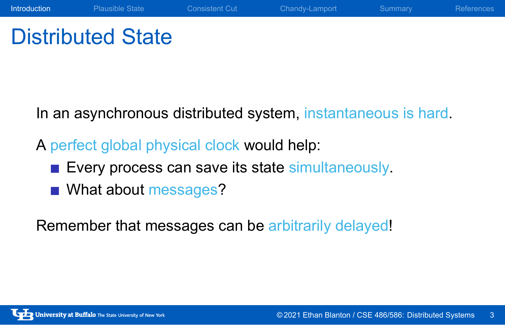# Distributed State

In an asynchronous distributed system, instantaneous is hard.

A perfect global physical clock would help:

- Every process can save its state simultaneously.
- What about messages?

Remember that messages can be arbitrarily delayed!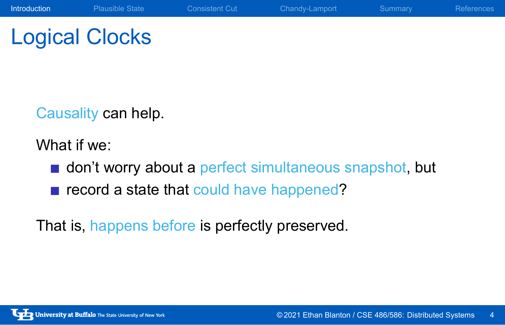# Logical Clocks

Causality can help.

What if we:

**don't worry about a perfect simultaneous snapshot, but** 

Introduction Plausible State Consistent Cut Chandy-Lamport Summary References

record a state that could have happened?

That is, happens before is perfectly preserved.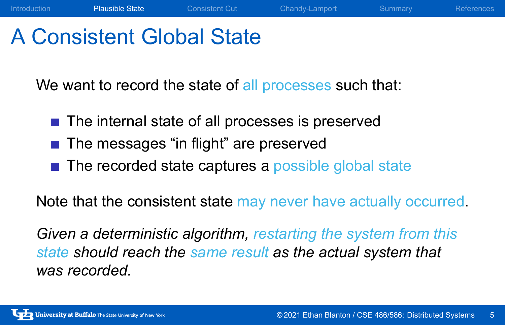## A Consistent Global State

We want to record the state of all processes such that:

- The internal state of all processes is preserved
- The messages "in flight" are preserved
- The recorded state captures a possible global state

Note that the consistent state may never have actually occurred.

Introduction Plausible State Consistent Cut Chandy-Lamport Summary References

*Given a deterministic algorithm, restarting the system from this state should reach the same result as the actual system that was recorded.*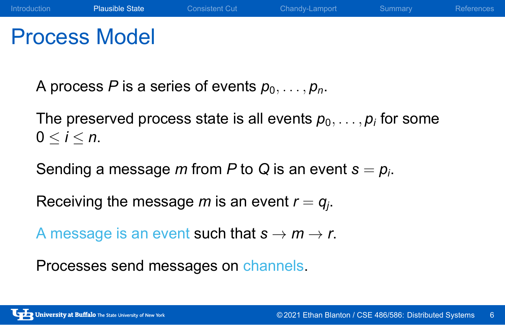## Process Model

A process *P* is a series of events  $p_0, \ldots, p_n$ .

The preserved process state is all events  $p_0, \ldots, p_i$  for some  $0 \leq i \leq n$ .

Sending a message *m* from *P* to *Q* is an event *s* = *p<sup>i</sup>* .

Receiving the message  $m$  is an event  $r = q_j$ .

A message is an event such that  $s \rightarrow m \rightarrow r$ .

Processes send messages on channels.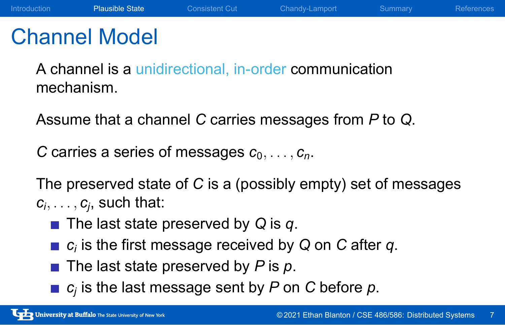## Channel Model

A channel is a unidirectional, in-order communication mechanism.

Assume that a channel *C* carries messages from *P* to *Q*.

*C* carries a series of messages *c*0*, . . . , cn*.

The preserved state of *C* is a (possibly empty) set of messages  $c_i, \ldots, c_j$ , such that:

- The last state preserved by *Q* is *q*.
- *ci* is the first message received by *Q* on *C* after *q*.
- The last state preserved by *P* is *p*.
- *cj* is the last message sent by *P* on *C* before *p*.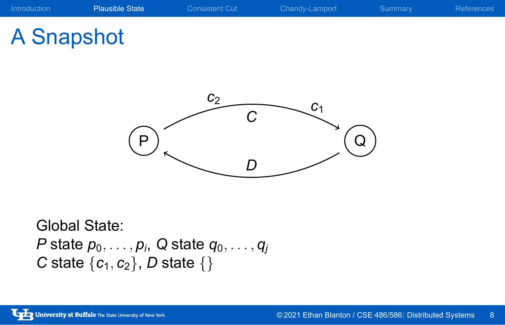# A Snapshot



Global State: *P* state *p*0*, . . . , p<sup>i</sup>* , *Q* state *q*0*, . . . , q<sup>j</sup> C* state *{c*1*, c*2*}*, *D* state *{}*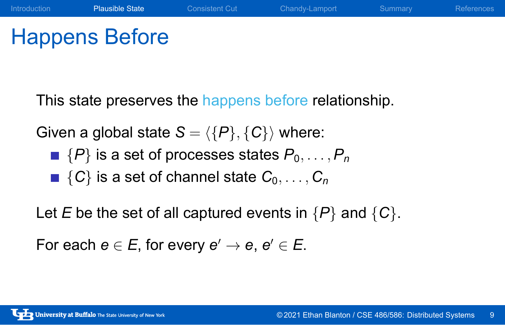# Happens Before

This state preserves the happens before relationship.

Introduction **Plausible State** Consistent Cut Chandy-Lamport Summary References

Given a global state  $S = \langle {P}, {C} \rangle$  where:

- $\blacksquare$   $\{P\}$  is a set of processes states  $P_0, \ldots, P_n$
- $\blacksquare$  {*C*} is a set of channel state  $C_0, \ldots, C_n$

Let *E* be the set of all captured events in *{P}* and *{C}*.

 $\mathsf{For~each~}e \in E, \text{ for every } e' \to e, \, e' \in E.$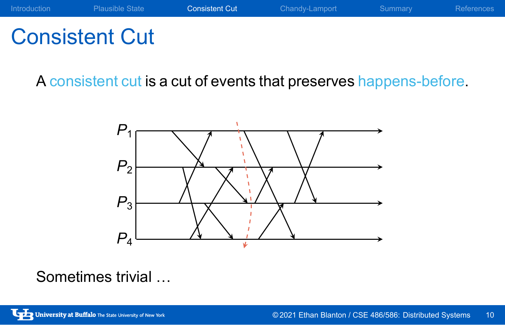

# Consistent Cut

A consistent cut is a cut of events that preserves happens-before.



Sometimes trivial …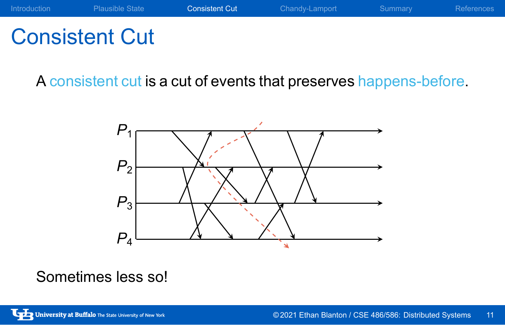

# Consistent Cut

A consistent cut is a cut of events that preserves happens-before.



## Sometimes less so!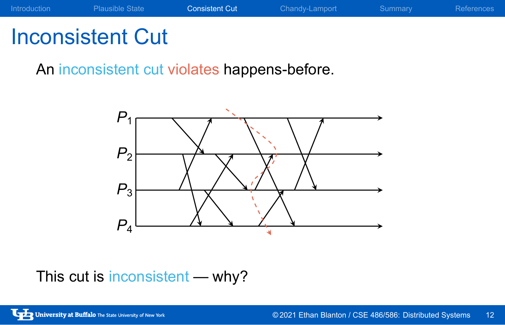

# Inconsistent Cut

An inconsistent cut violates happens-before.



This cut is inconsistent — why?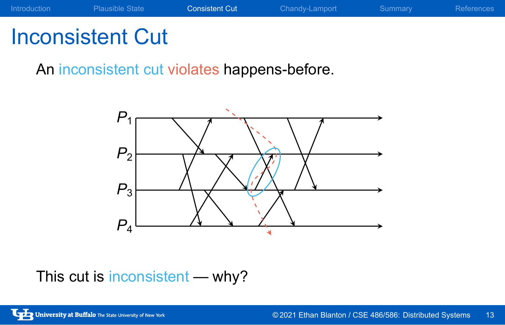

# Inconsistent Cut

An inconsistent cut violates happens-before.



This cut is inconsistent — why?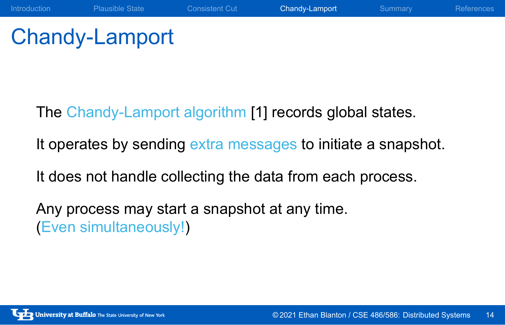# Chandy-Lamport

The Chandy-Lamport algorithm [1] records global states.

It operates by sending extra messages to initiate a snapshot.

Introduction Plausible State Consistent Cut Chandy-Lamport Summary References

It does not handle collecting the data from each process.

Any process may start a snapshot at any time. (Even simultaneously!)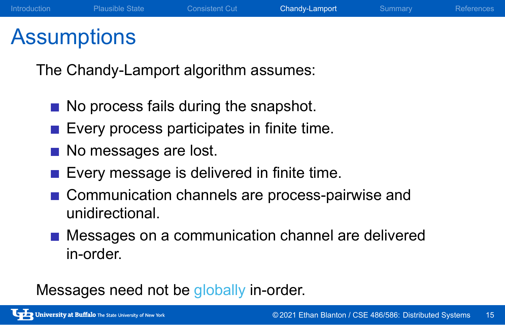## Assumptions

The Chandy-Lamport algorithm assumes:

- No process fails during the snapshot.
- **Exery process participates in finite time.**
- No messages are lost.
- **Every message is delivered in finite time.**
- Communication channels are process-pairwise and unidirectional.
- **Messages on a communication channel are delivered** in-order.

Messages need not be globally in-order.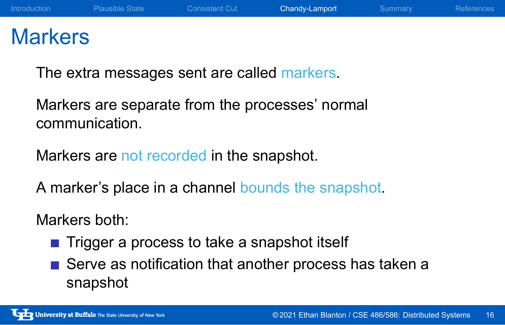## **Markers**

The extra messages sent are called markers.

Markers are separate from the processes' normal communication.

Markers are not recorded in the snapshot.

A marker's place in a channel bounds the snapshot.

## Markers both:

- Trigger a process to take a snapshot itself
- Serve as notification that another process has taken a snapshot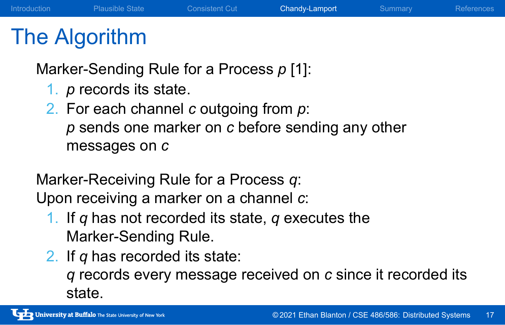## The Algorithm

Marker-Sending Rule for a Process *p* [1]:

- 1. *p* records its state.
- 2. For each channel *c* outgoing from *p*: *p* sends one marker on *c* before sending any other messages on *c*

Marker-Receiving Rule for a Process *q*: Upon receiving a marker on a channel *c*:

- 1. If *q* has not recorded its state, *q* executes the Marker-Sending Rule.
- 2. If *q* has recorded its state: *q* records every message received on *c* since it recorded its state.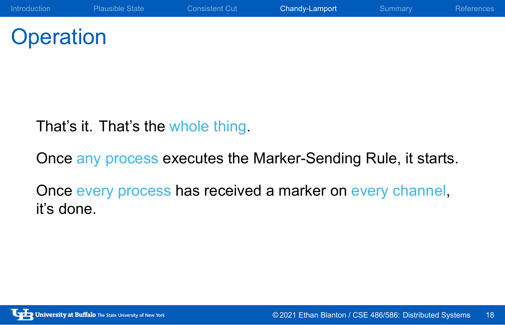# **Operation**

That's it. That's the whole thing.

Once any process executes the Marker-Sending Rule, it starts.

Once every process has received a marker on every channel, it's done.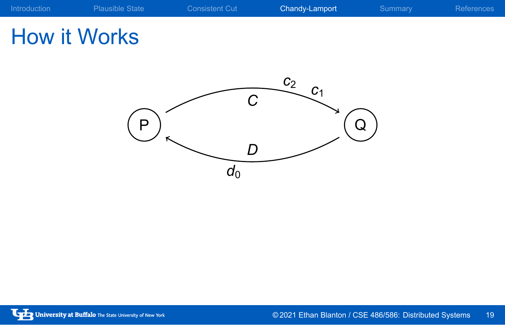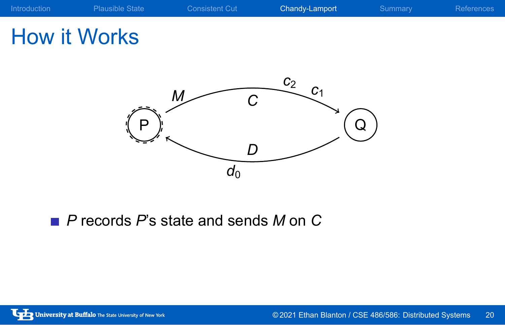# How it Works



*P* records *P*'s state and sends *M* on *C*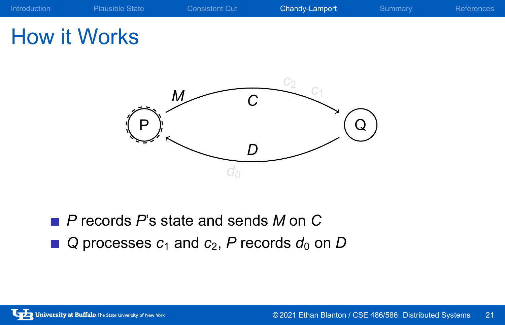

- *P* records *P*'s state and sends *M* on *C*
- $\blacksquare$  *Q* processes  $c_1$  and  $c_2$ , *P* records  $d_0$  on *D*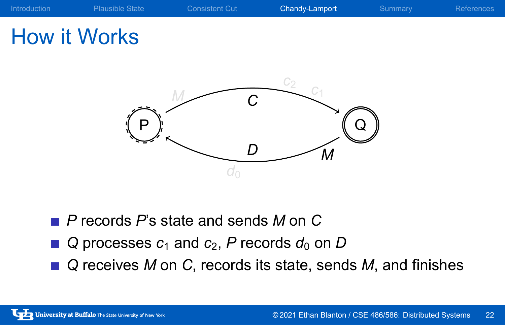

- *P* records *P*'s state and sends *M* on *C*
- $\blacksquare$  *Q* processes  $c_1$  and  $c_2$ , *P* records  $d_0$  on *D*
- *Q* receives *M* on *C*, records its state, sends *M*, and finishes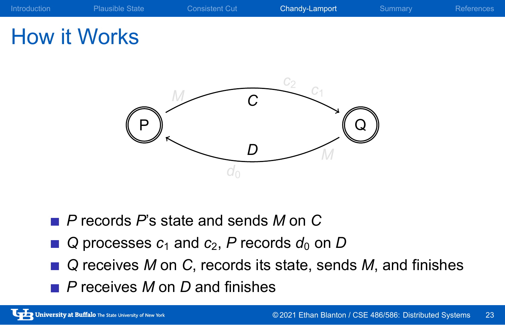

- *P* records *P*'s state and sends *M* on *C*
- $\blacksquare$  *Q* processes  $c_1$  and  $c_2$ , *P* records  $d_0$  on *D*
- *Q* receives *M* on *C*, records its state, sends *M*, and finishes
- *P* receives *M* on *D* and finishes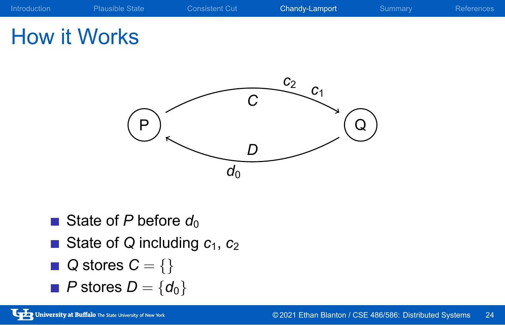

- State of *P* before *d*<sub>0</sub>
- State of *Q* including *c*<sub>1</sub>, *c*<sub>2</sub>
- *Q* stores *C* = *{}*
- *P* stores *D* = *{d*0*}*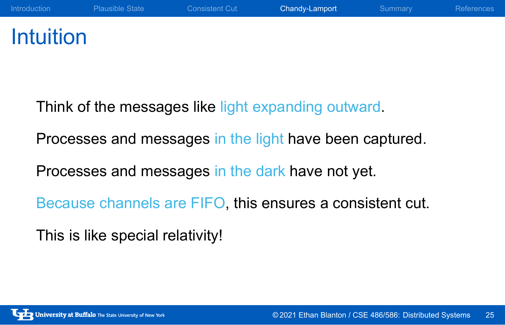## Intuition

Think of the messages like light expanding outward.

Processes and messages in the light have been captured.

Processes and messages in the dark have not yet.

Because channels are FIFO, this ensures a consistent cut.

This is like special relativity!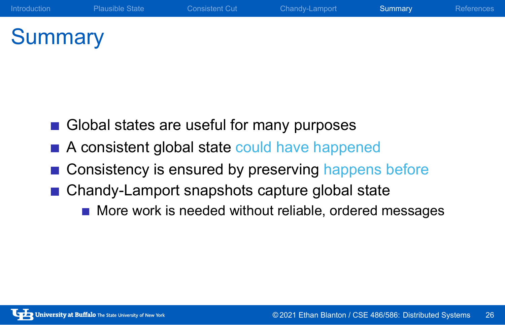# **Summary**

- Global states are useful for many purposes
- A consistent global state could have happened
- Consistency is ensured by preserving happens before

Introduction Plausible State Consistent Cut Chandy-Lamport **Summary** References

- Chandy-Lamport snapshots capture global state
	- More work is needed without reliable, ordered messages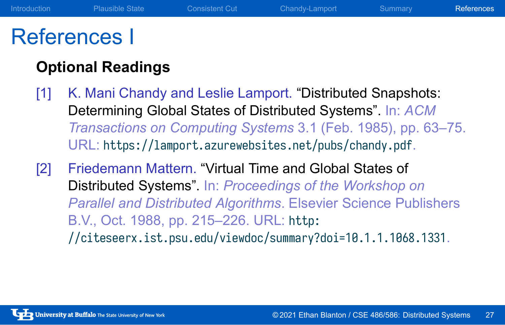## References I

## **Optional Readings**

- [1] K. Mani Chandy and Leslie Lamport. "Distributed Snapshots: Determining Global States of Distributed Systems". In: *ACM Transactions on Computing Systems* 3.1 (Feb. 1985), pp. 63–75. URL: https://lamport.azurewebsites.net/pubs/chandy.pdf.
- [2] Friedemann Mattern. "Virtual Time and Global States of Distributed Systems". In: *Proceedings of the Workshop on Parallel and Distributed Algorithms*. Elsevier Science Publishers B.V., Oct. 1988, pp. 215–226. URL: http: //citeseerx.ist.psu.edu/viewdoc/summary?doi=10.1.1.1068.1331.